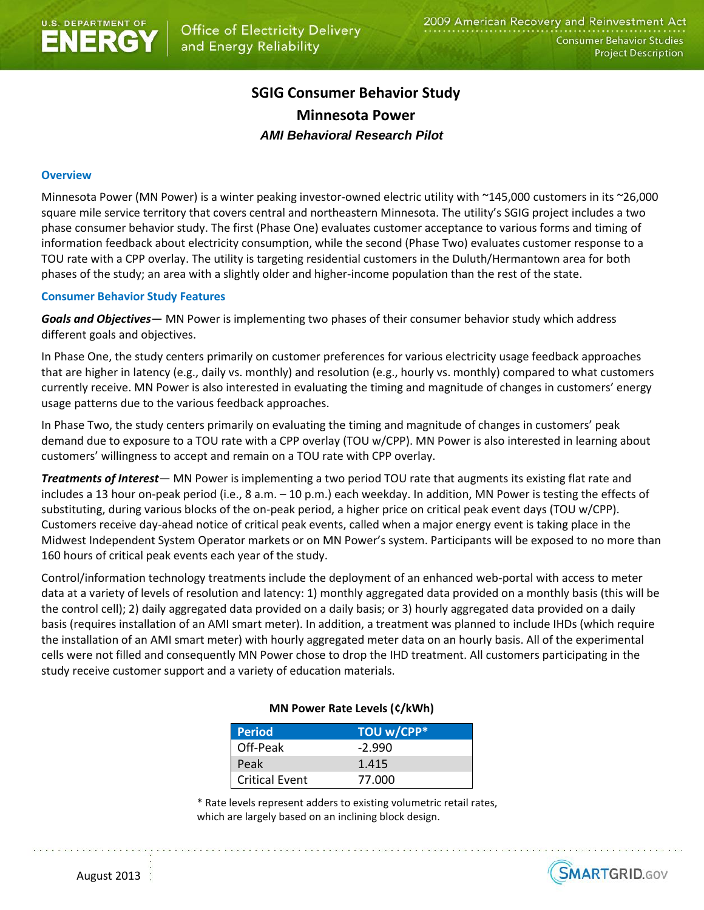# **SGIG Consumer Behavior Study Minnesota Power** *AMI Behavioral Research Pilot*

### **Overview**

Minnesota Power (MN Power) is a winter peaking investor-owned electric utility with ~145,000 customers in its ~26,000 square mile service territory that covers central and northeastern Minnesota. The utility's SGIG project includes a two phase consumer behavior study. The first (Phase One) evaluates customer acceptance to various forms and timing of information feedback about electricity consumption, while the second (Phase Two) evaluates customer response to a TOU rate with a CPP overlay. The utility is targeting residential customers in the Duluth/Hermantown area for both phases of the study; an area with a slightly older and higher-income population than the rest of the state.

#### **Consumer Behavior Study Features**

*Goals and Objectives—* MN Power is implementing two phases of their consumer behavior study which address different goals and objectives.

In Phase One, the study centers primarily on customer preferences for various electricity usage feedback approaches that are higher in latency (e.g., daily vs. monthly) and resolution (e.g., hourly vs. monthly) compared to what customers currently receive. MN Power is also interested in evaluating the timing and magnitude of changes in customers' energy usage patterns due to the various feedback approaches.

In Phase Two, the study centers primarily on evaluating the timing and magnitude of changes in customers' peak demand due to exposure to a TOU rate with a CPP overlay (TOU w/CPP). MN Power is also interested in learning about customers' willingness to accept and remain on a TOU rate with CPP overlay.

*Treatments of Interest—* MN Power is implementing a two period TOU rate that augments its existing flat rate and includes a 13 hour on-peak period (i.e., 8 a.m. – 10 p.m.) each weekday. In addition, MN Power is testing the effects of substituting, during various blocks of the on-peak period, a higher price on critical peak event days (TOU w/CPP). Customers receive day-ahead notice of critical peak events, called when a major energy event is taking place in the Midwest Independent System Operator markets or on MN Power's system. Participants will be exposed to no more than 160 hours of critical peak events each year of the study.

Control/information technology treatments include the deployment of an enhanced web-portal with access to meter data at a variety of levels of resolution and latency: 1) monthly aggregated data provided on a monthly basis (this will be the control cell); 2) daily aggregated data provided on a daily basis; or 3) hourly aggregated data provided on a daily basis (requires installation of an AMI smart meter). In addition, a treatment was planned to include IHDs (which require the installation of an AMI smart meter) with hourly aggregated meter data on an hourly basis. All of the experimental cells were not filled and consequently MN Power chose to drop the IHD treatment. All customers participating in the study receive customer support and a variety of education materials.

### **MN Power Rate Levels (¢/kWh)**

| <b>Period</b>         | TOU w/CPP* |
|-----------------------|------------|
| Off-Peak              | $-2.990$   |
| Peak                  | 1.415      |
| <b>Critical Event</b> | 77.000     |

\* Rate levels represent adders to existing volumetric retail rates, which are largely based on an inclining block design.

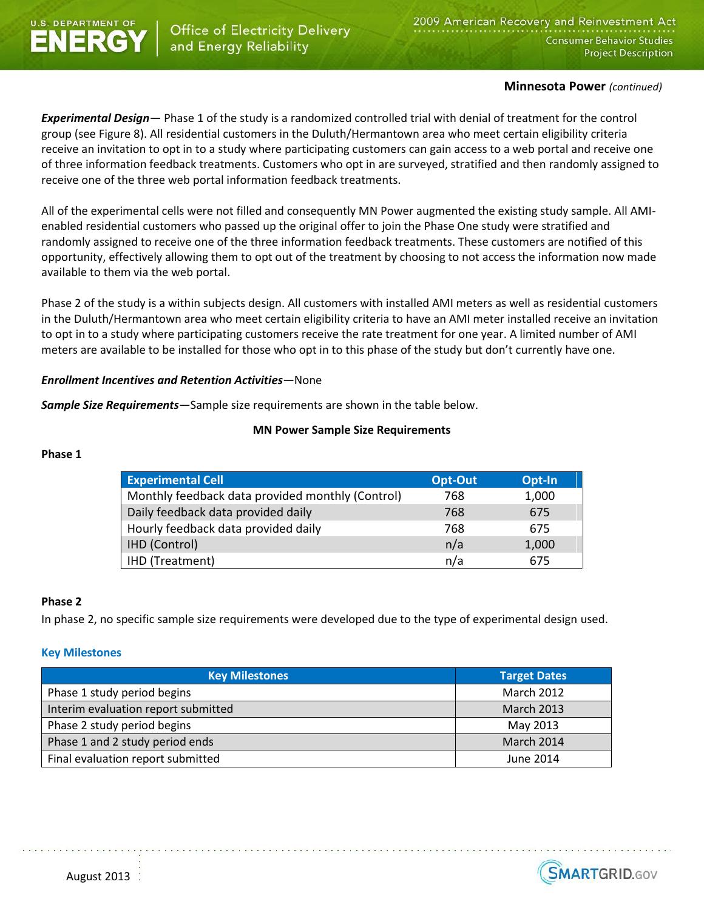

## **Minnesota Power** *(continued)*

*Experimental Design—* Phase 1 of the study is a randomized controlled trial with denial of treatment for the control group (see Figure 8). All residential customers in the Duluth/Hermantown area who meet certain eligibility criteria receive an invitation to opt in to a study where participating customers can gain access to a web portal and receive one of three information feedback treatments. Customers who opt in are surveyed, stratified and then randomly assigned to receive one of the three web portal information feedback treatments.

All of the experimental cells were not filled and consequently MN Power augmented the existing study sample. All AMIenabled residential customers who passed up the original offer to join the Phase One study were stratified and randomly assigned to receive one of the three information feedback treatments. These customers are notified of this opportunity, effectively allowing them to opt out of the treatment by choosing to not access the information now made available to them via the web portal.

Phase 2 of the study is a within subjects design. All customers with installed AMI meters as well as residential customers in the Duluth/Hermantown area who meet certain eligibility criteria to have an AMI meter installed receive an invitation to opt in to a study where participating customers receive the rate treatment for one year. A limited number of AMI meters are available to be installed for those who opt in to this phase of the study but don't currently have one.

## *Enrollment Incentives and Retention Activities—*None

*Sample Size Requirements—*Sample size requirements are shown in the table below.

### **MN Power Sample Size Requirements**

### **Phase 1**

| <b>Experimental Cell</b>                         | Opt-Out | Opt-In |
|--------------------------------------------------|---------|--------|
| Monthly feedback data provided monthly (Control) | 768     | 1,000  |
| Daily feedback data provided daily               | 768     | 675    |
| Hourly feedback data provided daily              | 768     | 675    |
| <b>IHD (Control)</b>                             | n/a     | 1,000  |
| HD (Treatment)                                   | n/a     | 675    |

### **Phase 2**

In phase 2, no specific sample size requirements were developed due to the type of experimental design used.

### **Key Milestones**

| <b>Key Milestones</b>               | <b>Target Dates</b> |
|-------------------------------------|---------------------|
| Phase 1 study period begins         | <b>March 2012</b>   |
| Interim evaluation report submitted | <b>March 2013</b>   |
| Phase 2 study period begins         | May 2013            |
| Phase 1 and 2 study period ends     | March 2014          |
| Final evaluation report submitted   | June 2014           |